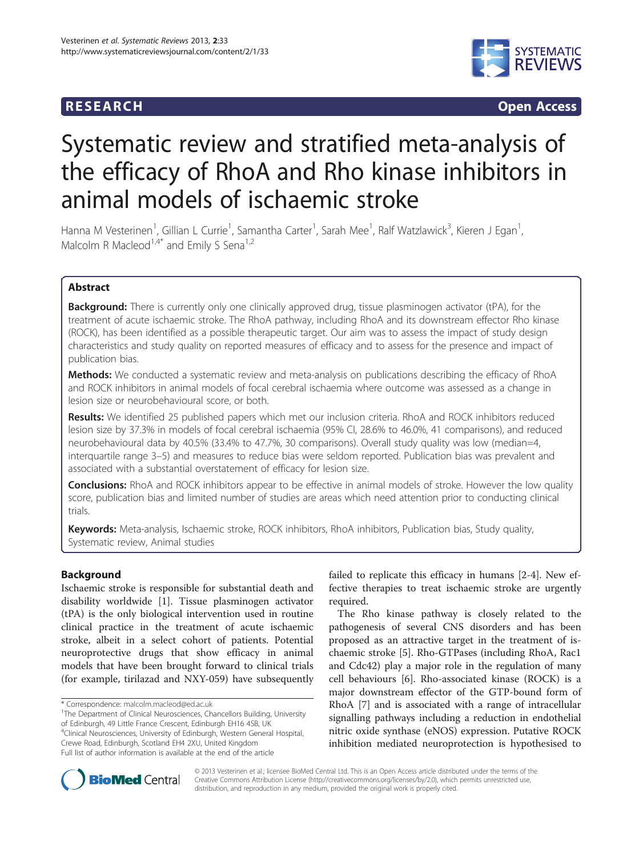# **RESEARCH CHINESEARCH CHINESEARCH CHINESE**



# Systematic review and stratified meta-analysis of the efficacy of RhoA and Rho kinase inhibitors in animal models of ischaemic stroke

Hanna M Vesterinen<sup>1</sup>, Gillian L Currie<sup>1</sup>, Samantha Carter<sup>1</sup>, Sarah Mee<sup>1</sup>, Ralf Watzlawick<sup>3</sup>, Kieren J Egan<sup>1</sup> , Malcolm R Macleod<sup>1,4\*</sup> and Emily S Sena<sup>1,2</sup>

# Abstract

**Background:** There is currently only one clinically approved drug, tissue plasminogen activator (tPA), for the treatment of acute ischaemic stroke. The RhoA pathway, including RhoA and its downstream effector Rho kinase (ROCK), has been identified as a possible therapeutic target. Our aim was to assess the impact of study design characteristics and study quality on reported measures of efficacy and to assess for the presence and impact of publication bias.

Methods: We conducted a systematic review and meta-analysis on publications describing the efficacy of RhoA and ROCK inhibitors in animal models of focal cerebral ischaemia where outcome was assessed as a change in lesion size or neurobehavioural score, or both.

Results: We identified 25 published papers which met our inclusion criteria. RhoA and ROCK inhibitors reduced lesion size by 37.3% in models of focal cerebral ischaemia (95% CI, 28.6% to 46.0%, 41 comparisons), and reduced neurobehavioural data by 40.5% (33.4% to 47.7%, 30 comparisons). Overall study quality was low (median=4, interquartile range 3–5) and measures to reduce bias were seldom reported. Publication bias was prevalent and associated with a substantial overstatement of efficacy for lesion size.

Conclusions: RhoA and ROCK inhibitors appear to be effective in animal models of stroke. However the low quality score, publication bias and limited number of studies are areas which need attention prior to conducting clinical trials.

Keywords: Meta-analysis, Ischaemic stroke, ROCK inhibitors, RhoA inhibitors, Publication bias, Study quality, Systematic review, Animal studies

# Background

Ischaemic stroke is responsible for substantial death and disability worldwide [[1\]](#page-7-0). Tissue plasminogen activator (tPA) is the only biological intervention used in routine clinical practice in the treatment of acute ischaemic stroke, albeit in a select cohort of patients. Potential neuroprotective drugs that show efficacy in animal models that have been brought forward to clinical trials (for example, tirilazad and NXY-059) have subsequently

<sup>1</sup>The Department of Clinical Neurosciences, Chancellors Building, University of Edinburgh, 49 Little France Crescent, Edinburgh EH16 4SB, UK 4 Clinical Neurosciences, University of Edinburgh, Western General Hospital,

Crewe Road, Edinburgh, Scotland EH4 2XU, United Kingdom Full list of author information is available at the end of the article failed to replicate this efficacy in humans [\[2](#page-7-0)-[4\]](#page-7-0). New effective therapies to treat ischaemic stroke are urgently required.

The Rho kinase pathway is closely related to the pathogenesis of several CNS disorders and has been proposed as an attractive target in the treatment of ischaemic stroke [[5\]](#page-7-0). Rho-GTPases (including RhoA, Rac1 and Cdc42) play a major role in the regulation of many cell behaviours [[6\]](#page-7-0). Rho-associated kinase (ROCK) is a major downstream effector of the GTP-bound form of RhoA [\[7](#page-7-0)] and is associated with a range of intracellular signalling pathways including a reduction in endothelial nitric oxide synthase (eNOS) expression. Putative ROCK inhibition mediated neuroprotection is hypothesised to



© 2013 Vesterinen et al.; licensee BioMed Central Ltd. This is an Open Access article distributed under the terms of the Creative Commons Attribution License (<http://creativecommons.org/licenses/by/2.0>), which permits unrestricted use, distribution, and reproduction in any medium, provided the original work is properly cited.

<sup>\*</sup> Correspondence: [malcolm.macleod@ed.ac.uk](mailto:malcolm.macleod@ed.ac.uk) <sup>1</sup>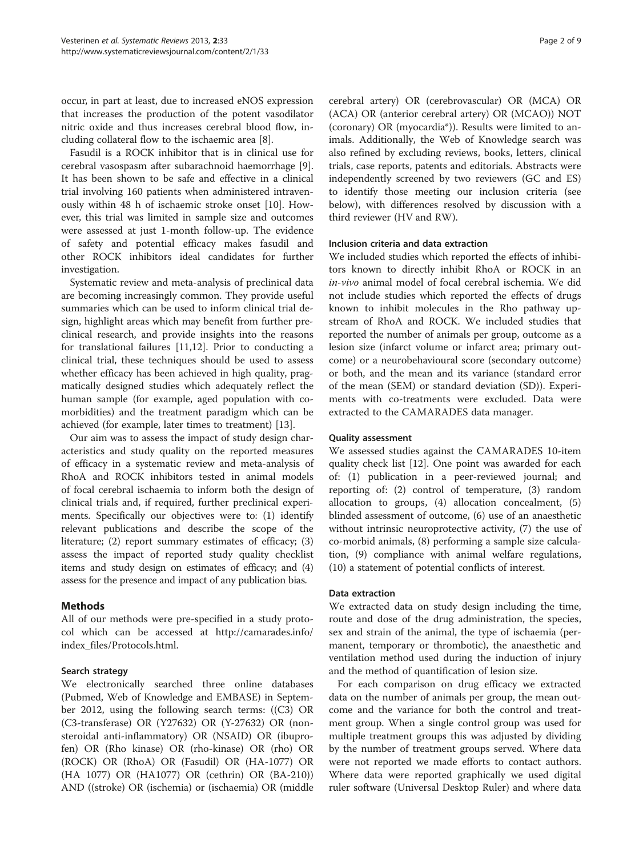occur, in part at least, due to increased eNOS expression that increases the production of the potent vasodilator nitric oxide and thus increases cerebral blood flow, including collateral flow to the ischaemic area [\[8](#page-8-0)].

Fasudil is a ROCK inhibitor that is in clinical use for cerebral vasospasm after subarachnoid haemorrhage [\[9](#page-8-0)]. It has been shown to be safe and effective in a clinical trial involving 160 patients when administered intravenously within 48 h of ischaemic stroke onset [\[10](#page-8-0)]. However, this trial was limited in sample size and outcomes were assessed at just 1-month follow-up. The evidence of safety and potential efficacy makes fasudil and other ROCK inhibitors ideal candidates for further investigation.

Systematic review and meta-analysis of preclinical data are becoming increasingly common. They provide useful summaries which can be used to inform clinical trial design, highlight areas which may benefit from further preclinical research, and provide insights into the reasons for translational failures [[11,12\]](#page-8-0). Prior to conducting a clinical trial, these techniques should be used to assess whether efficacy has been achieved in high quality, pragmatically designed studies which adequately reflect the human sample (for example, aged population with comorbidities) and the treatment paradigm which can be achieved (for example, later times to treatment) [\[13](#page-8-0)].

Our aim was to assess the impact of study design characteristics and study quality on the reported measures of efficacy in a systematic review and meta-analysis of RhoA and ROCK inhibitors tested in animal models of focal cerebral ischaemia to inform both the design of clinical trials and, if required, further preclinical experiments. Specifically our objectives were to: (1) identify relevant publications and describe the scope of the literature; (2) report summary estimates of efficacy; (3) assess the impact of reported study quality checklist items and study design on estimates of efficacy; and (4) assess for the presence and impact of any publication bias.

# Methods

All of our methods were pre-specified in a study protocol which can be accessed at [http://camarades.info/](http://camarades.info/index_files/Protocols.html) [index\\_files/Protocols.html](http://camarades.info/index_files/Protocols.html).

# Search strategy

We electronically searched three online databases (Pubmed, Web of Knowledge and EMBASE) in September 2012, using the following search terms: ((C3) OR (C3-transferase) OR (Y27632) OR (Y-27632) OR (nonsteroidal anti-inflammatory) OR (NSAID) OR (ibuprofen) OR (Rho kinase) OR (rho-kinase) OR (rho) OR (ROCK) OR (RhoA) OR (Fasudil) OR (HA-1077) OR (HA 1077) OR (HA1077) OR (cethrin) OR (BA-210)) AND ((stroke) OR (ischemia) or (ischaemia) OR (middle

cerebral artery) OR (cerebrovascular) OR (MCA) OR (ACA) OR (anterior cerebral artery) OR (MCAO)) NOT (coronary) OR (myocardia\*)). Results were limited to animals. Additionally, the Web of Knowledge search was also refined by excluding reviews, books, letters, clinical trials, case reports, patents and editorials. Abstracts were independently screened by two reviewers (GC and ES) to identify those meeting our inclusion criteria (see below), with differences resolved by discussion with a third reviewer (HV and RW).

#### Inclusion criteria and data extraction

We included studies which reported the effects of inhibitors known to directly inhibit RhoA or ROCK in an in-vivo animal model of focal cerebral ischemia. We did not include studies which reported the effects of drugs known to inhibit molecules in the Rho pathway upstream of RhoA and ROCK. We included studies that reported the number of animals per group, outcome as a lesion size (infarct volume or infarct area; primary outcome) or a neurobehavioural score (secondary outcome) or both, and the mean and its variance (standard error of the mean (SEM) or standard deviation (SD)). Experiments with co-treatments were excluded. Data were extracted to the CAMARADES data manager.

#### Quality assessment

We assessed studies against the CAMARADES 10-item quality check list [\[12](#page-8-0)]. One point was awarded for each of: (1) publication in a peer-reviewed journal; and reporting of: (2) control of temperature, (3) random allocation to groups, (4) allocation concealment, (5) blinded assessment of outcome, (6) use of an anaesthetic without intrinsic neuroprotective activity, (7) the use of co-morbid animals, (8) performing a sample size calculation, (9) compliance with animal welfare regulations, (10) a statement of potential conflicts of interest.

#### Data extraction

We extracted data on study design including the time, route and dose of the drug administration, the species, sex and strain of the animal, the type of ischaemia (permanent, temporary or thrombotic), the anaesthetic and ventilation method used during the induction of injury and the method of quantification of lesion size.

For each comparison on drug efficacy we extracted data on the number of animals per group, the mean outcome and the variance for both the control and treatment group. When a single control group was used for multiple treatment groups this was adjusted by dividing by the number of treatment groups served. Where data were not reported we made efforts to contact authors. Where data were reported graphically we used digital ruler software (Universal Desktop Ruler) and where data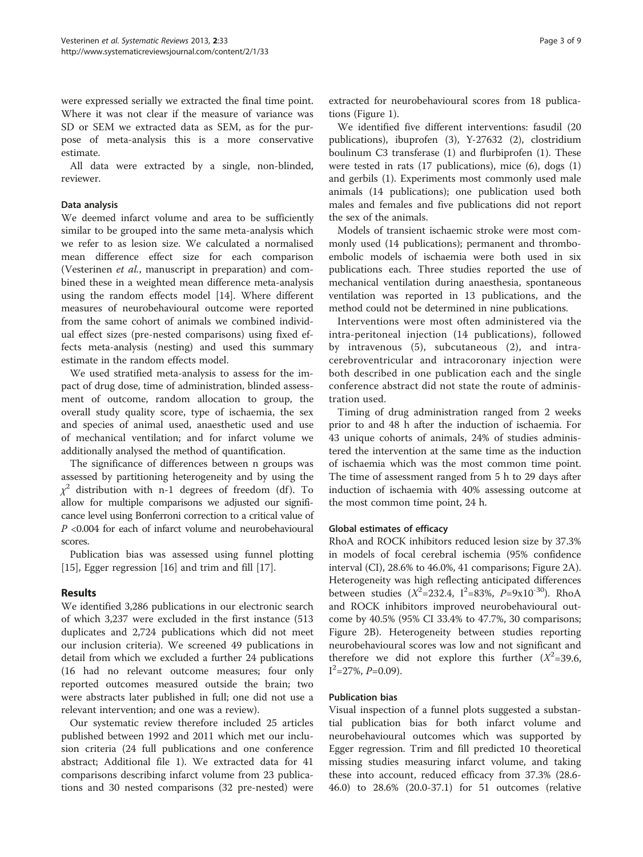were expressed serially we extracted the final time point. Where it was not clear if the measure of variance was SD or SEM we extracted data as SEM, as for the purpose of meta-analysis this is a more conservative estimate.

All data were extracted by a single, non-blinded, reviewer.

#### Data analysis

We deemed infarct volume and area to be sufficiently similar to be grouped into the same meta-analysis which we refer to as lesion size. We calculated a normalised mean difference effect size for each comparison (Vesterinen et al., manuscript in preparation) and combined these in a weighted mean difference meta-analysis using the random effects model [\[14\]](#page-8-0). Where different measures of neurobehavioural outcome were reported from the same cohort of animals we combined individual effect sizes (pre-nested comparisons) using fixed effects meta-analysis (nesting) and used this summary estimate in the random effects model.

We used stratified meta-analysis to assess for the impact of drug dose, time of administration, blinded assessment of outcome, random allocation to group, the overall study quality score, type of ischaemia, the sex and species of animal used, anaesthetic used and use of mechanical ventilation; and for infarct volume we additionally analysed the method of quantification.

The significance of differences between n groups was assessed by partitioning heterogeneity and by using the  $\chi^2$  distribution with n-1 degrees of freedom (df). To allow for multiple comparisons we adjusted our significance level using Bonferroni correction to a critical value of P <0.004 for each of infarct volume and neurobehavioural scores.

Publication bias was assessed using funnel plotting [[15\]](#page-8-0), Egger regression [[16](#page-8-0)] and trim and fill [[17](#page-8-0)].

# Results

We identified 3,286 publications in our electronic search of which 3,237 were excluded in the first instance (513 duplicates and 2,724 publications which did not meet our inclusion criteria). We screened 49 publications in detail from which we excluded a further 24 publications (16 had no relevant outcome measures; four only reported outcomes measured outside the brain; two were abstracts later published in full; one did not use a relevant intervention; and one was a review).

Our systematic review therefore included 25 articles published between 1992 and 2011 which met our inclusion criteria (24 full publications and one conference abstract; Additional file [1\)](#page-7-0). We extracted data for 41 comparisons describing infarct volume from 23 publications and 30 nested comparisons (32 pre-nested) were extracted for neurobehavioural scores from 18 publications (Figure [1](#page-3-0)).

We identified five different interventions: fasudil (20 publications), ibuprofen (3), Y-27632 (2), clostridium boulinum C3 transferase (1) and flurbiprofen (1). These were tested in rats (17 publications), mice (6), dogs (1) and gerbils (1). Experiments most commonly used male animals (14 publications); one publication used both males and females and five publications did not report the sex of the animals.

Models of transient ischaemic stroke were most commonly used (14 publications); permanent and thromboembolic models of ischaemia were both used in six publications each. Three studies reported the use of mechanical ventilation during anaesthesia, spontaneous ventilation was reported in 13 publications, and the method could not be determined in nine publications.

Interventions were most often administered via the intra-peritoneal injection (14 publications), followed by intravenous (5), subcutaneous (2), and intracerebroventricular and intracoronary injection were both described in one publication each and the single conference abstract did not state the route of administration used.

Timing of drug administration ranged from 2 weeks prior to and 48 h after the induction of ischaemia. For 43 unique cohorts of animals, 24% of studies administered the intervention at the same time as the induction of ischaemia which was the most common time point. The time of assessment ranged from 5 h to 29 days after induction of ischaemia with 40% assessing outcome at the most common time point, 24 h.

#### Global estimates of efficacy

RhoA and ROCK inhibitors reduced lesion size by 37.3% in models of focal cerebral ischemia (95% confidence interval (CI), 28.6% to 46.0%, 41 comparisons; Figure [2](#page-4-0)A). Heterogeneity was high reflecting anticipated differences between studies ( $X^2 = 232.4$ ,  $I^2 = 83\%$ ,  $P = 9x10^{-30}$ ). RhoA and ROCK inhibitors improved neurobehavioural outcome by 40.5% (95% CI 33.4% to 47.7%, 30 comparisons; Figure [2](#page-4-0)B). Heterogeneity between studies reporting neurobehavioural scores was low and not significant and therefore we did not explore this further  $(X^2=39.6,$  $I^2$ =27%,  $P$ =0.09).

#### Publication bias

Visual inspection of a funnel plots suggested a substantial publication bias for both infarct volume and neurobehavioural outcomes which was supported by Egger regression. Trim and fill predicted 10 theoretical missing studies measuring infarct volume, and taking these into account, reduced efficacy from 37.3% (28.6- 46.0) to 28.6% (20.0-37.1) for 51 outcomes (relative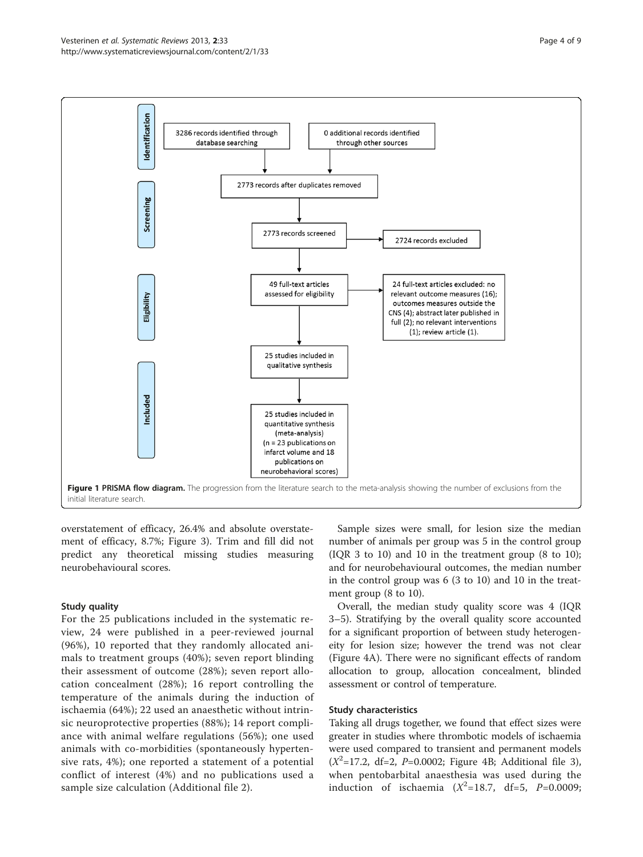<span id="page-3-0"></span>

overstatement of efficacy, 26.4% and absolute overstatement of efficacy, 8.7%; Figure [3\)](#page-5-0). Trim and fill did not predict any theoretical missing studies measuring neurobehavioural scores.

#### Study quality

For the 25 publications included in the systematic review, 24 were published in a peer-reviewed journal (96%), 10 reported that they randomly allocated animals to treatment groups (40%); seven report blinding their assessment of outcome (28%); seven report allocation concealment (28%); 16 report controlling the temperature of the animals during the induction of ischaemia (64%); 22 used an anaesthetic without intrinsic neuroprotective properties (88%); 14 report compliance with animal welfare regulations (56%); one used animals with co-morbidities (spontaneously hypertensive rats, 4%); one reported a statement of a potential conflict of interest (4%) and no publications used a sample size calculation (Additional file [2](#page-7-0)).

Sample sizes were small, for lesion size the median number of animals per group was 5 in the control group (IQR 3 to 10) and 10 in the treatment group (8 to 10); and for neurobehavioural outcomes, the median number in the control group was 6 (3 to 10) and 10 in the treatment group (8 to 10).

Overall, the median study quality score was 4 (IQR 3–5). Stratifying by the overall quality score accounted for a significant proportion of between study heterogeneity for lesion size; however the trend was not clear (Figure [4A](#page-6-0)). There were no significant effects of random allocation to group, allocation concealment, blinded assessment or control of temperature.

#### Study characteristics

Taking all drugs together, we found that effect sizes were greater in studies where thrombotic models of ischaemia were used compared to transient and permanent models  $(X^2=17.2, df=2, P=0.0002; Figure 4B; Additional file 3)$  $(X^2=17.2, df=2, P=0.0002; Figure 4B; Additional file 3)$  $(X^2=17.2, df=2, P=0.0002; Figure 4B; Additional file 3)$  $(X^2=17.2, df=2, P=0.0002; Figure 4B; Additional file 3)$  $(X^2=17.2, df=2, P=0.0002; Figure 4B; Additional file 3)$ when pentobarbital anaesthesia was used during the induction of ischaemia  $(X^2=18.7, df=5, P=0.0009;$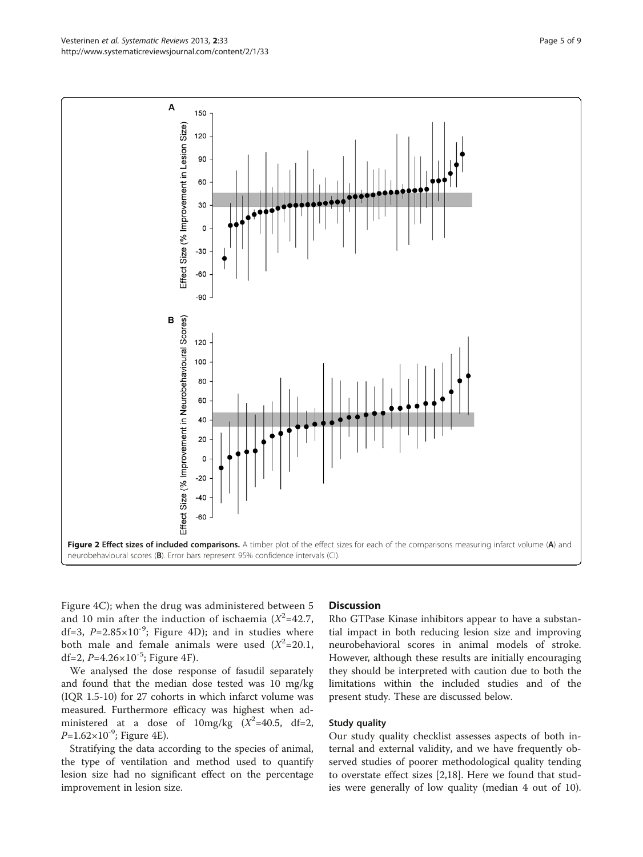Figure [4C](#page-6-0)); when the drug was administered between 5 and 10 min after the induction of ischaemia  $(X^2=42.7)$ , df=3,  $P=2.85\times10^{-9}$ ; Figure [4](#page-6-0)D); and in studies where both male and female animals were used  $(X^2=20.1,$ df=2,  $P=4.26\times10^{-5}$ ; Figure [4F](#page-6-0)).

We analysed the dose response of fasudil separately and found that the median dose tested was 10 mg/kg (IQR 1.5-10) for 27 cohorts in which infarct volume was measured. Furthermore efficacy was highest when administered at a dose of  $10 \text{mg/kg}$   $(X^2=40.5, \text{df}=2,$  $P=1.62\times10^{-9}$ ; Figure [4](#page-6-0)E).

Stratifying the data according to the species of animal, the type of ventilation and method used to quantify lesion size had no significant effect on the percentage improvement in lesion size.

#### **Discussion**

Rho GTPase Kinase inhibitors appear to have a substantial impact in both reducing lesion size and improving neurobehavioral scores in animal models of stroke. However, although these results are initially encouraging they should be interpreted with caution due to both the limitations within the included studies and of the present study. These are discussed below.

Study quality

Our study quality checklist assesses aspects of both internal and external validity, and we have frequently observed studies of poorer methodological quality tending to overstate effect sizes [\[2](#page-7-0)[,18](#page-8-0)]. Here we found that studies were generally of low quality (median 4 out of 10).

<span id="page-4-0"></span>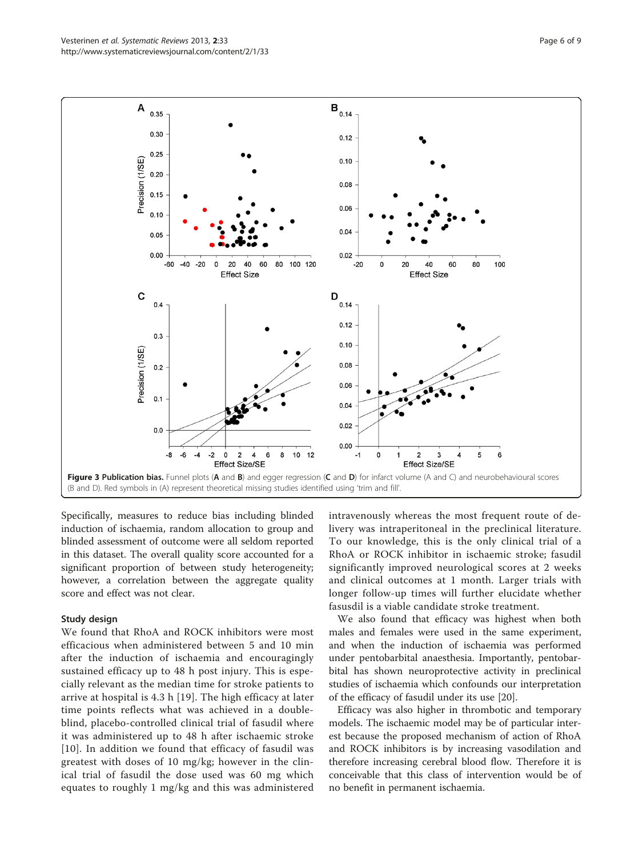Specifically, measures to reduce bias including blinded induction of ischaemia, random allocation to group and blinded assessment of outcome were all seldom reported in this dataset. The overall quality score accounted for a significant proportion of between study heterogeneity; however, a correlation between the aggregate quality score and effect was not clear.

#### Study design

We found that RhoA and ROCK inhibitors were most efficacious when administered between 5 and 10 min after the induction of ischaemia and encouragingly sustained efficacy up to 48 h post injury. This is especially relevant as the median time for stroke patients to arrive at hospital is 4.3 h [[19](#page-8-0)]. The high efficacy at later time points reflects what was achieved in a doubleblind, placebo-controlled clinical trial of fasudil where it was administered up to 48 h after ischaemic stroke [[10](#page-8-0)]. In addition we found that efficacy of fasudil was greatest with doses of 10 mg/kg; however in the clinical trial of fasudil the dose used was 60 mg which equates to roughly 1 mg/kg and this was administered intravenously whereas the most frequent route of delivery was intraperitoneal in the preclinical literature. To our knowledge, this is the only clinical trial of a RhoA or ROCK inhibitor in ischaemic stroke; fasudil significantly improved neurological scores at 2 weeks and clinical outcomes at 1 month. Larger trials with longer follow-up times will further elucidate whether fasusdil is a viable candidate stroke treatment.

We also found that efficacy was highest when both males and females were used in the same experiment, and when the induction of ischaemia was performed under pentobarbital anaesthesia. Importantly, pentobarbital has shown neuroprotective activity in preclinical studies of ischaemia which confounds our interpretation of the efficacy of fasudil under its use [\[20](#page-8-0)].

Efficacy was also higher in thrombotic and temporary models. The ischaemic model may be of particular interest because the proposed mechanism of action of RhoA and ROCK inhibitors is by increasing vasodilation and therefore increasing cerebral blood flow. Therefore it is conceivable that this class of intervention would be of no benefit in permanent ischaemia.

<span id="page-5-0"></span>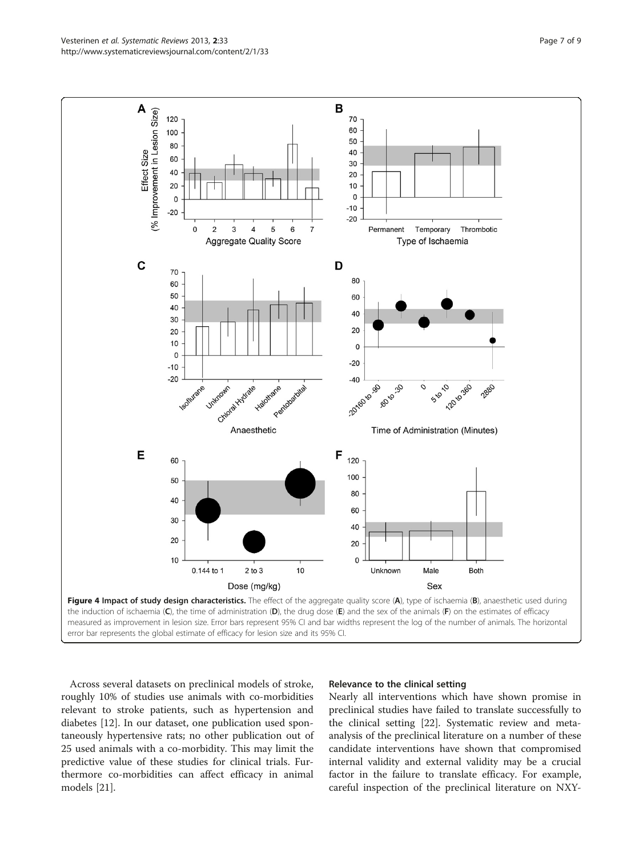Across several datasets on preclinical models of stroke, roughly 10% of studies use animals with co-morbidities relevant to stroke patients, such as hypertension and diabetes [\[12](#page-8-0)]. In our dataset, one publication used spontaneously hypertensive rats; no other publication out of 25 used animals with a co-morbidity. This may limit the predictive value of these studies for clinical trials. Furthermore co-morbidities can affect efficacy in animal models [\[21\]](#page-8-0).

#### Relevance to the clinical setting

Nearly all interventions which have shown promise in preclinical studies have failed to translate successfully to the clinical setting [\[22\]](#page-8-0). Systematic review and metaanalysis of the preclinical literature on a number of these candidate interventions have shown that compromised internal validity and external validity may be a crucial factor in the failure to translate efficacy. For example, careful inspection of the preclinical literature on NXY-

<span id="page-6-0"></span>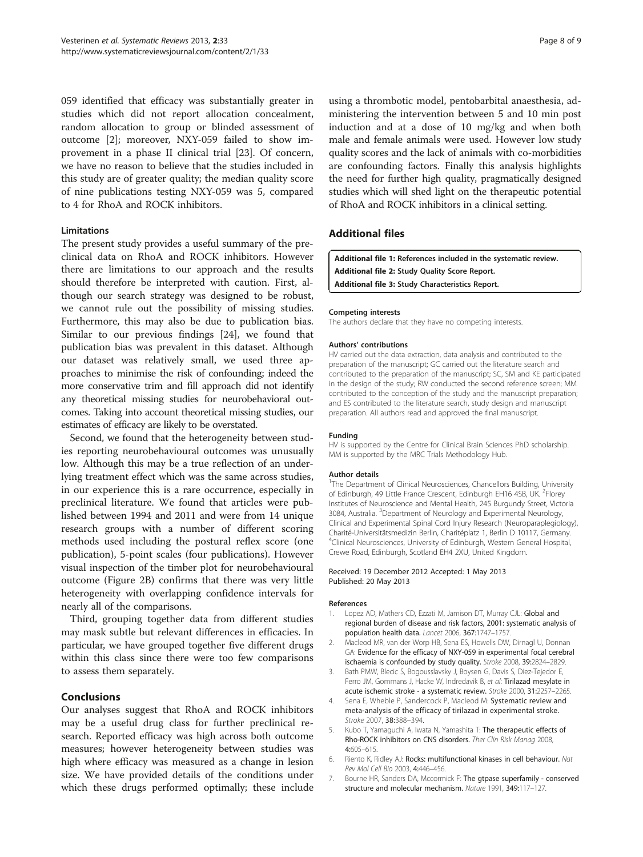<span id="page-7-0"></span>059 identified that efficacy was substantially greater in studies which did not report allocation concealment, random allocation to group or blinded assessment of outcome [2]; moreover, NXY-059 failed to show improvement in a phase II clinical trial [\[23](#page-8-0)]. Of concern, we have no reason to believe that the studies included in this study are of greater quality; the median quality score of nine publications testing NXY-059 was 5, compared to 4 for RhoA and ROCK inhibitors.

#### Limitations

The present study provides a useful summary of the preclinical data on RhoA and ROCK inhibitors. However there are limitations to our approach and the results should therefore be interpreted with caution. First, although our search strategy was designed to be robust, we cannot rule out the possibility of missing studies. Furthermore, this may also be due to publication bias. Similar to our previous findings [[24\]](#page-8-0), we found that publication bias was prevalent in this dataset. Although our dataset was relatively small, we used three approaches to minimise the risk of confounding; indeed the more conservative trim and fill approach did not identify any theoretical missing studies for neurobehavioral outcomes. Taking into account theoretical missing studies, our estimates of efficacy are likely to be overstated.

Second, we found that the heterogeneity between studies reporting neurobehavioural outcomes was unusually low. Although this may be a true reflection of an underlying treatment effect which was the same across studies, in our experience this is a rare occurrence, especially in preclinical literature. We found that articles were published between 1994 and 2011 and were from 14 unique research groups with a number of different scoring methods used including the postural reflex score (one publication), 5-point scales (four publications). However visual inspection of the timber plot for neurobehavioural outcome (Figure [2](#page-4-0)B) confirms that there was very little heterogeneity with overlapping confidence intervals for nearly all of the comparisons.

Third, grouping together data from different studies may mask subtle but relevant differences in efficacies. In particular, we have grouped together five different drugs within this class since there were too few comparisons to assess them separately.

# Conclusions

Our analyses suggest that RhoA and ROCK inhibitors may be a useful drug class for further preclinical research. Reported efficacy was high across both outcome measures; however heterogeneity between studies was high where efficacy was measured as a change in lesion size. We have provided details of the conditions under which these drugs performed optimally; these include using a thrombotic model, pentobarbital anaesthesia, administering the intervention between 5 and 10 min post induction and at a dose of 10 mg/kg and when both male and female animals were used. However low study quality scores and the lack of animals with co-morbidities are confounding factors. Finally this analysis highlights the need for further high quality, pragmatically designed studies which will shed light on the therapeutic potential of RhoA and ROCK inhibitors in a clinical setting.

# Additional files

[Additional file 1:](http://www.biomedcentral.com/content/supplementary/2046-4053-2-33-S1.pdf) References included in the systematic review. [Additional file 2:](http://www.biomedcentral.com/content/supplementary/2046-4053-2-33-S2.pdf) Study Quality Score Report. [Additional file 3:](http://www.biomedcentral.com/content/supplementary/2046-4053-2-33-S3.pdf) Study Characteristics Report.

#### Competing interests

The authors declare that they have no competing interests.

#### Authors' contributions

HV carried out the data extraction, data analysis and contributed to the preparation of the manuscript; GC carried out the literature search and contributed to the preparation of the manuscript; SC, SM and KE participated in the design of the study; RW conducted the second reference screen; MM contributed to the conception of the study and the manuscript preparation; and ES contributed to the literature search, study design and manuscript preparation. All authors read and approved the final manuscript.

#### Funding

HV is supported by the Centre for Clinical Brain Sciences PhD scholarship. MM is supported by the MRC Trials Methodology Hub.

#### Author details

<sup>1</sup>The Department of Clinical Neurosciences, Chancellors Building, University of Edinburgh, 49 Little France Crescent, Edinburgh EH16 4SB, UK. <sup>2</sup>Florey Institutes of Neuroscience and Mental Health, 245 Burgundy Street, Victoria 3084, Australia. <sup>3</sup> Department of Neurology and Experimental Neurology, Clinical and Experimental Spinal Cord Injury Research (Neuroparaplegiology), Charité-Universitätsmedizin Berlin, Charitéplatz 1, Berlin D 10117, Germany. 4 Clinical Neurosciences, University of Edinburgh, Western General Hospital, Crewe Road, Edinburgh, Scotland EH4 2XU, United Kingdom.

#### Received: 19 December 2012 Accepted: 1 May 2013 Published: 20 May 2013

#### References

- Lopez AD, Mathers CD, Ezzati M, Jamison DT, Murray CJL: Global and regional burden of disease and risk factors, 2001: systematic analysis of population health data. Lancet 2006, 367:1747–1757.
- 2. Macleod MR, van der Worp HB, Sena ES, Howells DW, Dirnagl U, Donnan GA: Evidence for the efficacy of NXY-059 in experimental focal cerebral ischaemia is confounded by study quality. Stroke 2008, 39:2824–2829.
- 3. Bath PMW, Blecic S, Bogousslavsky J, Boysen G, Davis S, Diez-Tejedor E, Ferro JM, Gommans J, Hacke W, Indredavik B, et al: Tirilazad mesylate in acute ischemic stroke - a systematic review. Stroke 2000, 31:2257–2265.
- 4. Sena E, Wheble P, Sandercock P, Macleod M: Systematic review and meta-analysis of the efficacy of tirilazad in experimental stroke. Stroke 2007, 38:388–394.
- 5. Kubo T, Yamaguchi A, Iwata N, Yamashita T: The therapeutic effects of Rho-ROCK inhibitors on CNS disorders. Ther Clin Risk Manag 2008, 4:605–615.
- 6. Riento K, Ridley AJ: Rocks: multifunctional kinases in cell behaviour. Nat Rev Mol Cell Bio 2003, 4:446–456.
- 7. Bourne HR, Sanders DA, Mccormick F: The gtpase superfamily conserved structure and molecular mechanism. Nature 1991, 349:117–127.